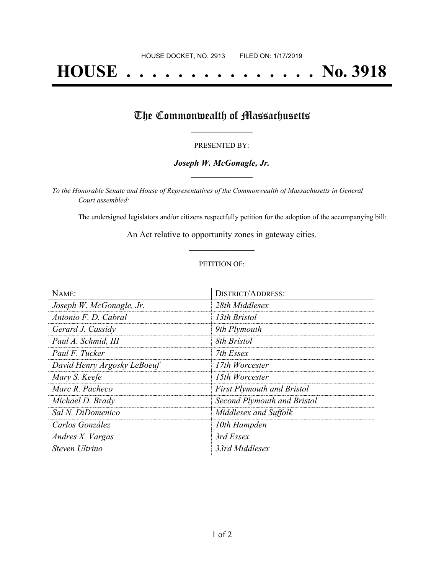# **HOUSE . . . . . . . . . . . . . . . No. 3918**

## The Commonwealth of Massachusetts

#### PRESENTED BY:

#### *Joseph W. McGonagle, Jr.* **\_\_\_\_\_\_\_\_\_\_\_\_\_\_\_\_\_**

*To the Honorable Senate and House of Representatives of the Commonwealth of Massachusetts in General Court assembled:*

The undersigned legislators and/or citizens respectfully petition for the adoption of the accompanying bill:

An Act relative to opportunity zones in gateway cities. **\_\_\_\_\_\_\_\_\_\_\_\_\_\_\_**

#### PETITION OF:

| NAME:                       | <b>DISTRICT/ADDRESS:</b>          |
|-----------------------------|-----------------------------------|
| Joseph W. McGonagle, Jr.    | 28th Middlesex                    |
| Antonio F. D. Cabral        | 13th Bristol                      |
| Gerard J. Cassidy           | 9th Plymouth                      |
| Paul A. Schmid, III         | 8th Bristol                       |
| Paul F. Tucker              | 7th Essex                         |
| David Henry Argosky LeBoeuf | 17th Worcester                    |
| Mary S. Keefe               | 15th Worcester                    |
| Marc R. Pacheco             | <b>First Plymouth and Bristol</b> |
| Michael D. Brady            | Second Plymouth and Bristol       |
| Sal N. DiDomenico           | Middlesex and Suffolk             |
| Carlos González             | 10th Hampden                      |
| Andres X. Vargas            | 3rd Essex                         |
| Steven Ultrino              | 33rd Middlesex                    |